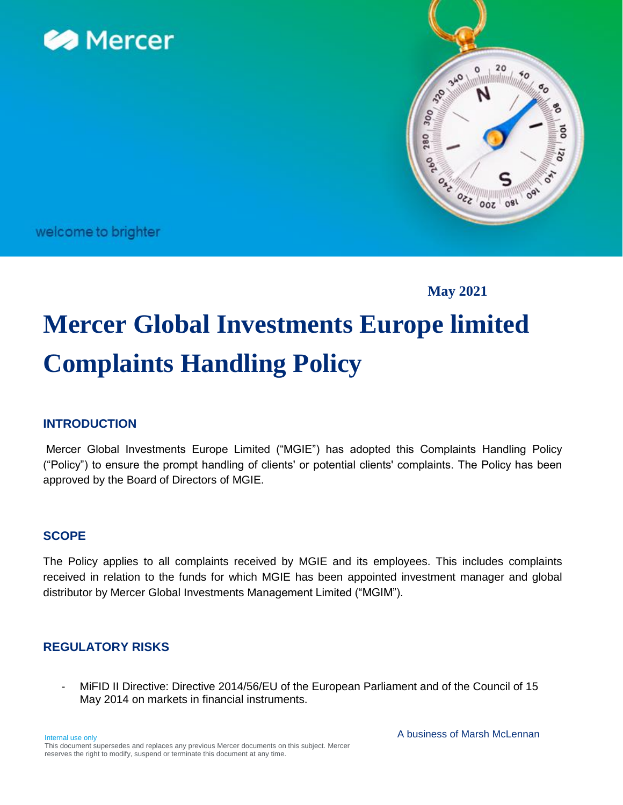



welcome to brighter

**May 2021**

# **Mercer Global Investments Europe limited Complaints Handling Policy**

# **INTRODUCTION**

Mercer Global Investments Europe Limited ("MGIE") has adopted this Complaints Handling Policy ("Policy") to ensure the prompt handling of clients' or potential clients' complaints. The Policy has been approved by the Board of Directors of MGIE.

## **SCOPE**

The Policy applies to all complaints received by MGIE and its employees. This includes complaints received in relation to the funds for which MGIE has been appointed investment manager and global distributor by Mercer Global Investments Management Limited ("MGIM").

## **REGULATORY RISKS**

MiFID II Directive: Directive 2014/56/EU of the European Parliament and of the Council of 15 May 2014 on markets in financial instruments.

Internal use only This document supersedes and replaces any previous Mercer documents on this subject. Mercer reserves the right to modify, suspend or terminate this document at any time.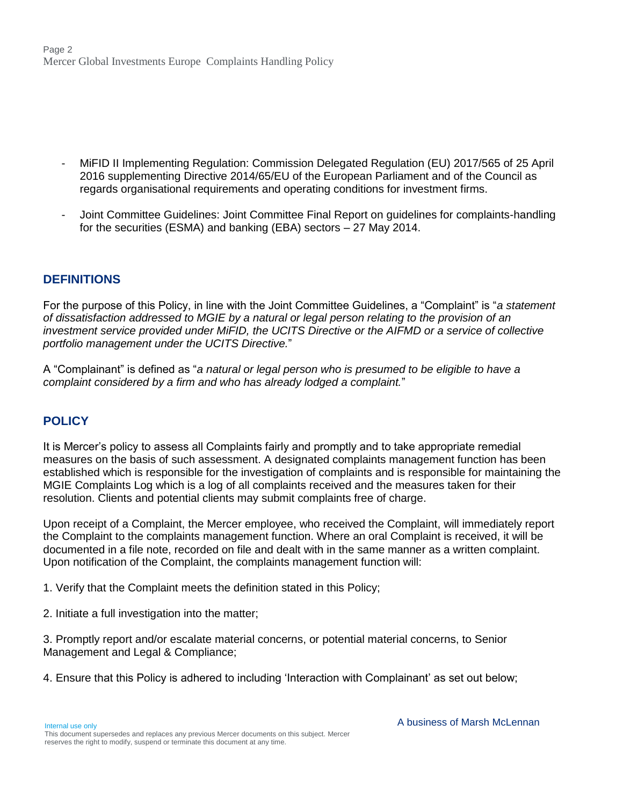Page 2 Mercer Global Investments Europe Complaints Handling Policy

- MiFID II Implementing Regulation: Commission Delegated Regulation (EU) 2017/565 of 25 April 2016 supplementing Directive 2014/65/EU of the European Parliament and of the Council as regards organisational requirements and operating conditions for investment firms.
- Joint Committee Guidelines: Joint Committee Final Report on guidelines for complaints-handling for the securities (ESMA) and banking (EBA) sectors – 27 May 2014.

### **DEFINITIONS**

For the purpose of this Policy, in line with the Joint Committee Guidelines, a "Complaint" is "*a statement of dissatisfaction addressed to MGIE by a natural or legal person relating to the provision of an investment service provided under MiFID, the UCITS Directive or the AIFMD or a service of collective portfolio management under the UCITS Directive.*"

A "Complainant" is defined as "*a natural or legal person who is presumed to be eligible to have a complaint considered by a firm and who has already lodged a complaint.*"

## **POLICY**

It is Mercer's policy to assess all Complaints fairly and promptly and to take appropriate remedial measures on the basis of such assessment. A designated complaints management function has been established which is responsible for the investigation of complaints and is responsible for maintaining the MGIE Complaints Log which is a log of all complaints received and the measures taken for their resolution. Clients and potential clients may submit complaints free of charge.

Upon receipt of a Complaint, the Mercer employee, who received the Complaint, will immediately report the Complaint to the complaints management function. Where an oral Complaint is received, it will be documented in a file note, recorded on file and dealt with in the same manner as a written complaint. Upon notification of the Complaint, the complaints management function will:

1. Verify that the Complaint meets the definition stated in this Policy;

2. Initiate a full investigation into the matter;

3. Promptly report and/or escalate material concerns, or potential material concerns, to Senior Management and Legal & Compliance;

4. Ensure that this Policy is adhered to including 'Interaction with Complainant' as set out below;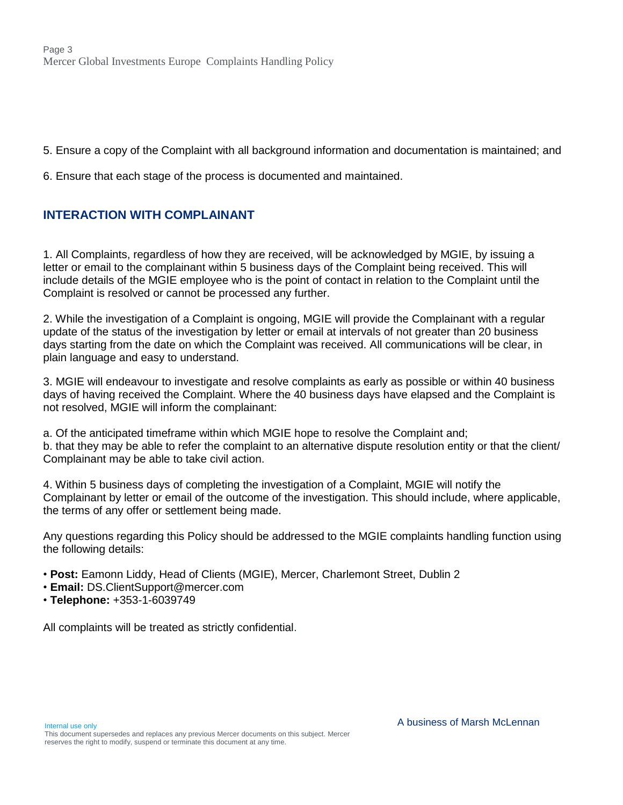5. Ensure a copy of the Complaint with all background information and documentation is maintained; and

6. Ensure that each stage of the process is documented and maintained.

# **INTERACTION WITH COMPLAINANT**

1. All Complaints, regardless of how they are received, will be acknowledged by MGIE, by issuing a letter or email to the complainant within 5 business days of the Complaint being received. This will include details of the MGIE employee who is the point of contact in relation to the Complaint until the Complaint is resolved or cannot be processed any further.

2. While the investigation of a Complaint is ongoing, MGIE will provide the Complainant with a regular update of the status of the investigation by letter or email at intervals of not greater than 20 business days starting from the date on which the Complaint was received. All communications will be clear, in plain language and easy to understand.

3. MGIE will endeavour to investigate and resolve complaints as early as possible or within 40 business days of having received the Complaint. Where the 40 business days have elapsed and the Complaint is not resolved, MGIE will inform the complainant:

a. Of the anticipated timeframe within which MGIE hope to resolve the Complaint and; b. that they may be able to refer the complaint to an alternative dispute resolution entity or that the client/ Complainant may be able to take civil action.

4. Within 5 business days of completing the investigation of a Complaint, MGIE will notify the Complainant by letter or email of the outcome of the investigation. This should include, where applicable, the terms of any offer or settlement being made.

Any questions regarding this Policy should be addressed to the MGIE complaints handling function using the following details:

- **Post:** Eamonn Liddy, Head of Clients (MGIE), Mercer, Charlemont Street, Dublin 2
- **Email:** DS.ClientSupport@mercer.com
- **Telephone:** +353-1-6039749

All complaints will be treated as strictly confidential.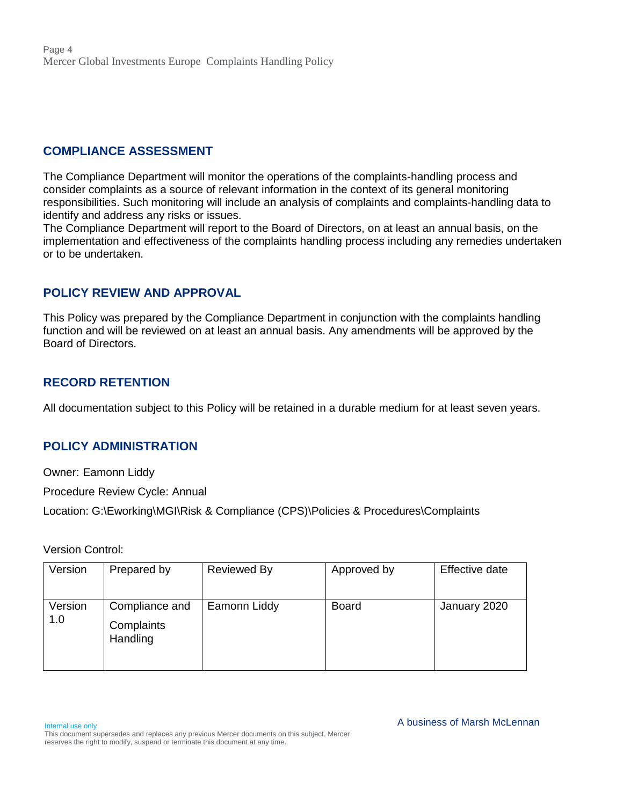### **COMPLIANCE ASSESSMENT**

The Compliance Department will monitor the operations of the complaints-handling process and consider complaints as a source of relevant information in the context of its general monitoring responsibilities. Such monitoring will include an analysis of complaints and complaints-handling data to identify and address any risks or issues.

The Compliance Department will report to the Board of Directors, on at least an annual basis, on the implementation and effectiveness of the complaints handling process including any remedies undertaken or to be undertaken.

## **POLICY REVIEW AND APPROVAL**

This Policy was prepared by the Compliance Department in conjunction with the complaints handling function and will be reviewed on at least an annual basis. Any amendments will be approved by the Board of Directors.

### **RECORD RETENTION**

All documentation subject to this Policy will be retained in a durable medium for at least seven years.

## **POLICY ADMINISTRATION**

Owner: Eamonn Liddy

Procedure Review Cycle: Annual

Location: G:\Eworking\MGI\Risk & Compliance (CPS)\Policies & Procedures\Complaints

Version Control:

| Version        | Prepared by                              | <b>Reviewed By</b> | Approved by  | Effective date |
|----------------|------------------------------------------|--------------------|--------------|----------------|
| Version<br>1.0 | Compliance and<br>Complaints<br>Handling | Eamonn Liddy       | <b>Board</b> | January 2020   |